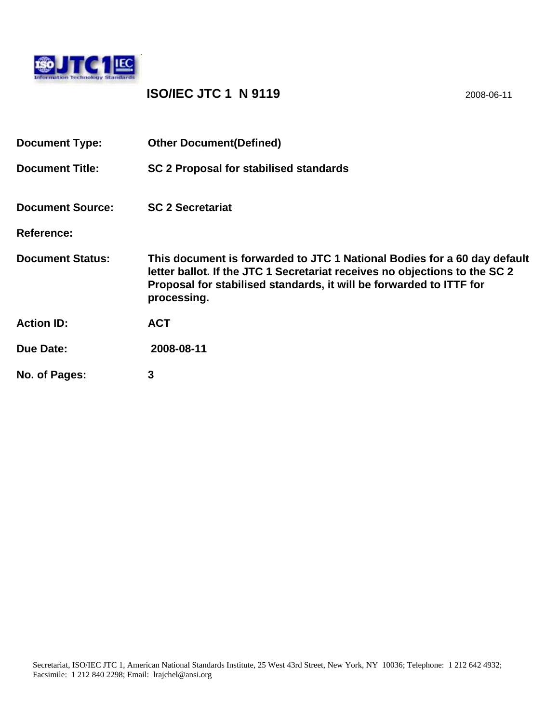

## **ISO/IEC JTC 1 N 9119** 2008-06-11

| <b>Document Type:</b>   | <b>Other Document (Defined)</b>                                                                                                                                                                                                              |
|-------------------------|----------------------------------------------------------------------------------------------------------------------------------------------------------------------------------------------------------------------------------------------|
| <b>Document Title:</b>  | SC 2 Proposal for stabilised standards                                                                                                                                                                                                       |
| <b>Document Source:</b> | <b>SC 2 Secretariat</b>                                                                                                                                                                                                                      |
| <b>Reference:</b>       |                                                                                                                                                                                                                                              |
| <b>Document Status:</b> | This document is forwarded to JTC 1 National Bodies for a 60 day default<br>letter ballot. If the JTC 1 Secretariat receives no objections to the SC 2<br>Proposal for stabilised standards, it will be forwarded to ITTF for<br>processing. |
| <b>Action ID:</b>       | <b>ACT</b>                                                                                                                                                                                                                                   |
| Due Date:               | 2008-08-11                                                                                                                                                                                                                                   |
| No. of Pages:           | 3                                                                                                                                                                                                                                            |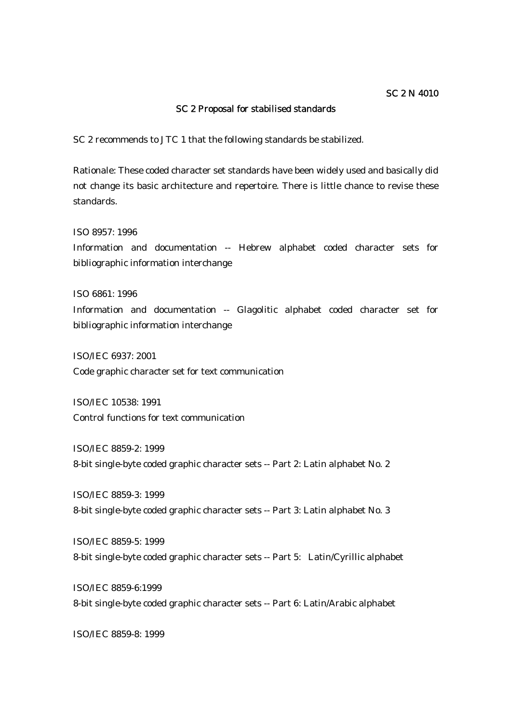## SC 2 Proposal for stabilised standards

SC 2 recommends to JTC 1 that the following standards be stabilized.

Rationale: These coded character set standards have been widely used and basically did not change its basic architecture and repertoire. There is little chance to revise these standards.

ISO 8957: 1996 Information and documentation -- Hebrew alphabet coded character sets for bibliographic information interchange

ISO 6861: 1996 Information and documentation -- Glagolitic alphabet coded character set for bibliographic information interchange

ISO/IEC 6937: 2001 Code graphic character set for text communication

ISO/IEC 10538: 1991 Control functions for text communication

ISO/IEC 8859-2: 1999 8-bit single-byte coded graphic character sets -- Part 2: Latin alphabet No. 2

ISO/IEC 8859-3: 1999 8-bit single-byte coded graphic character sets -- Part 3: Latin alphabet No. 3

ISO/IEC 8859-5: 1999 8-bit single-byte coded graphic character sets -- Part 5: Latin/Cyrillic alphabet

ISO/IEC 8859-6:1999 8-bit single-byte coded graphic character sets -- Part 6: Latin/Arabic alphabet

ISO/IEC 8859-8: 1999